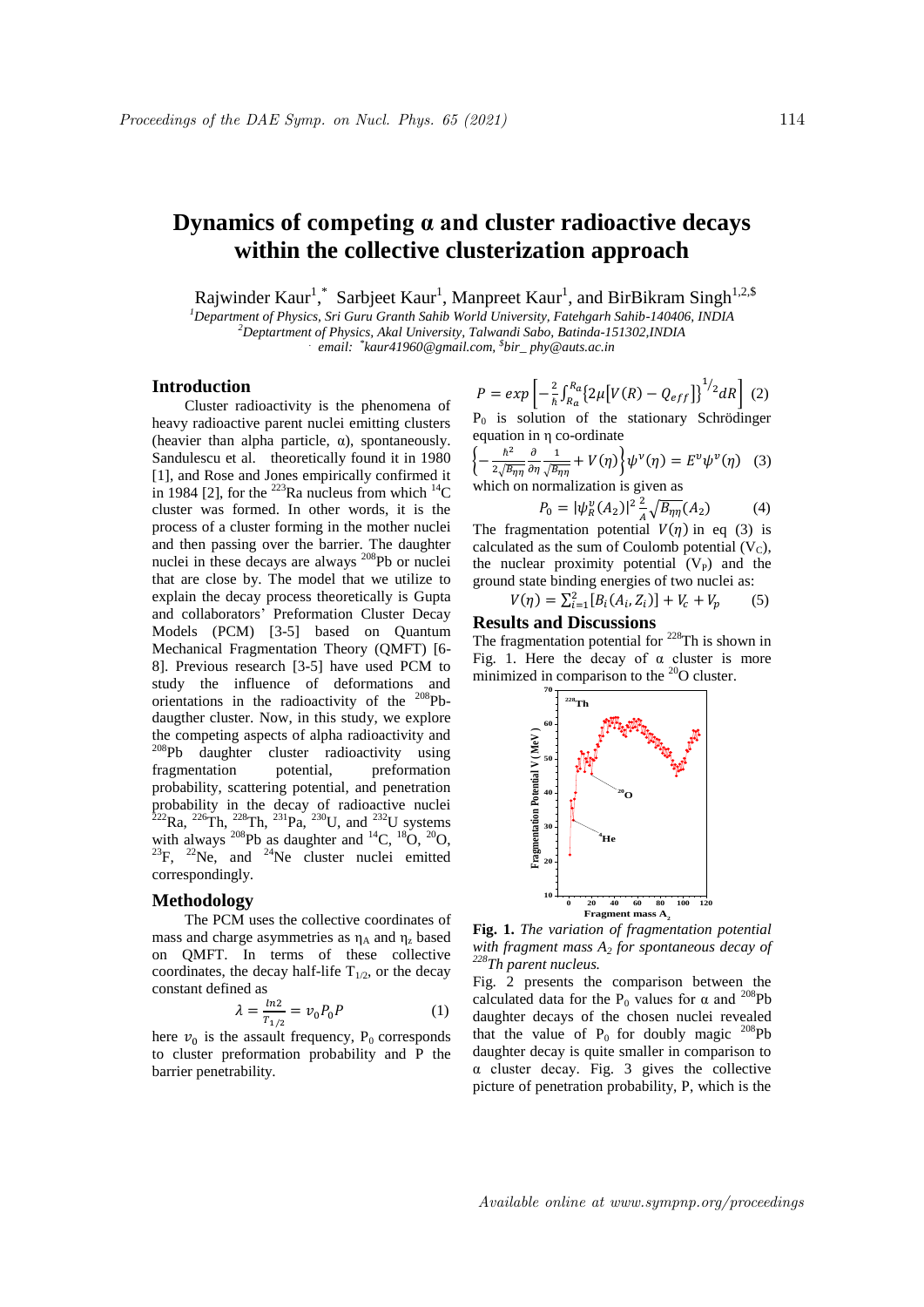# **Dynamics of competing α and cluster radioactive decays within the collective clusterization approach**

Rajwinder Kaur<sup>1</sup>,\* Sarbjeet Kaur<sup>1</sup>, Manpreet Kaur<sup>1</sup>, and BirBikram Singh<sup>1,2,\$</sup>

*<sup>1</sup>Department of Physics, Sri Guru Granth Sahib World University, Fatehgarh Sahib-140406, INDIA <sup>2</sup>Deptartment of Physics, Akal University, Talwandi Sabo, Batinda-151302,INDIA*

*. email: \* kaur41960@gmail.com, \$ bir\_ phy@auts.ac.in*

**Introduction**

Cluster radioactivity is the phenomena of heavy radioactive parent nuclei emitting clusters (heavier than alpha particle,  $\alpha$ ), spontaneously. Sandulescu et al. theoretically found it in 1980 [1], and Rose and Jones empirically confirmed it in 1984 [2], for the <sup>223</sup>Ra nucleus from which <sup>14</sup>C cluster was formed. In other words, it is the process of a cluster forming in the mother nuclei and then passing over the barrier. The daughter nuclei in these decays are always <sup>208</sup>Pb or nuclei that are close by. The model that we utilize to explain the decay process theoretically is Gupta and collaborators' Preformation Cluster Decay Models (PCM) [3-5] based on Quantum Mechanical Fragmentation Theory (QMFT) [6- 8]. Previous research [3-5] have used PCM to study the influence of deformations and orientations in the radioactivity of the <sup>208</sup>Pbdaugther cluster. Now, in this study, we explore the competing aspects of alpha radioactivity and <sup>208</sup>Pb daughter cluster radioactivity using fragmentation potential, preformation probability, scattering potential, and penetration probability in the decay of radioactive nuclei  ${}^{222}$ Ra,  ${}^{226}$ Th,  ${}^{228}$ Th,  ${}^{231}$ Pa,  ${}^{230}$ U, and  ${}^{232}$ U systems with always  $^{208}Pb$  as daughter and  $^{14}C$ ,  $^{18}O$ ,  $^{20}O$ ,  $^{23}F$ ,  $^{22}Ne$ , and  $^{24}Ne$  cluster nuclei emitted correspondingly.

### **Methodology**

The PCM uses the collective coordinates of mass and charge asymmetries as  $\eta_A$  and  $\eta_z$  based on QMFT. In terms of these collective coordinates, the decay half-life  $T_{1/2}$ , or the decay constant defined as

$$
\lambda = \frac{\ln 2}{T_{1/2}} = v_0 P_0 P \tag{1}
$$

here  $v_0$  is the assault frequency,  $P_0$  corresponds to cluster preformation probability and P the barrier penetrability.

$$
P = exp\left[-\frac{2}{\hbar} \int_{R_a}^{R_a} \{2\mu \left[V(R) - Q_{eff}\right]\}^{1/2} dR\right] (2)
$$

P<sub>0</sub> is solution of the stationary Schrödinger equation in η co-ordinate

$$
\left\{-\frac{\hbar^2}{2\sqrt{B_{\eta\eta}}}\frac{\partial}{\partial\eta}\frac{1}{\sqrt{B_{\eta\eta}}} + V(\eta)\right\}\psi^\nu(\eta) = E^\nu\psi^\nu(\eta) \quad (3)
$$
which on normalization is given as

$$
P_0 = |\psi_R^v(A_2)|^2 \frac{2}{A} \sqrt{B_{\eta\eta}}(A_2)
$$
 (4)

The fragmentation potential  $V(\eta)$  in eq (3) is calculated as the sum of Coulomb potential  $(V_C)$ , the nuclear proximity potential  $(V_P)$  and the ground state binding energies of two nuclei as:

$$
V(\eta) = \sum_{i=1}^{2} [B_i(A_i, Z_i)] + V_c + V_p \tag{5}
$$

# **Results and Discussions**

The fragmentation potential for  $228$ Th is shown in Fig. 1. Here the decay of  $\alpha$  cluster is more minimized in comparison to the  $^{20}$ O cluster.



**Fig. 1.** *The variation of fragmentation potential with fragment mass A<sup>2</sup> for spontaneous decay of <sup>228</sup>Th parent nucleus.*

Fig. 2 presents the comparison between the calculated data for the P<sub>0</sub> values for  $\alpha$  and <sup>208</sup>Pb daughter decays of the chosen nuclei revealed that the value of  $P_0$  for doubly magic <sup>208</sup>Pb daughter decay is quite smaller in comparison to α cluster decay. Fig. 3 gives the collective picture of penetration probability, P, which is the

Available online at www.sympnp.org/proceedings